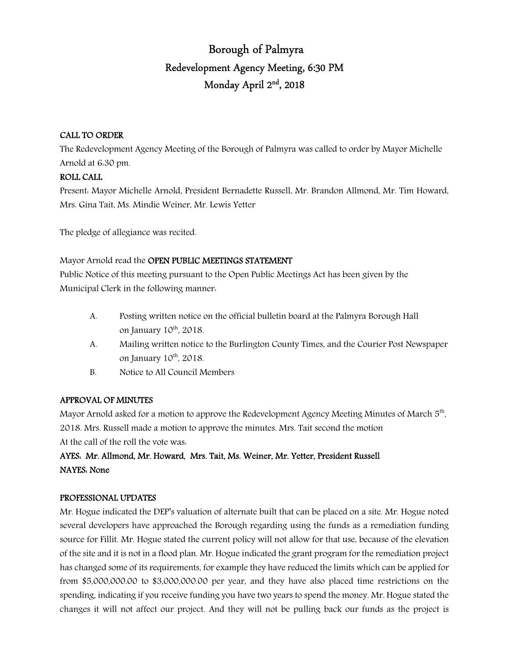# Borough of Palmyra Redevelopment Agency Meeting, 6:30 PM Monday April 2nd , 2018

## CALL TO ORDER

The Redevelopment Agency Meeting of the Borough of Palmyra was called to order by Mayor Michelle Arnold at 6:30 pm.

## ROLL CALL

Present: Mayor Michelle Arnold, President Bernadette Russell, Mr. Brandon Allmond, Mr. Tim Howard, Mrs. Gina Tait, Ms. Mindie Weiner, Mr. Lewis Yetter

The pledge of allegiance was recited.

# Mayor Arnold read the OPEN PUBLIC MEETINGS STATEMENT

Public Notice of this meeting pursuant to the Open Public Meetings Act has been given by the Municipal Clerk in the following manner:

- A. Posting written notice on the official bulletin board at the Palmyra Borough Hall on January  $10^{th}$ ,  $2018$ .
- A. Mailing written notice to the Burlington County Times, and the Courier Post Newspaper on January  $10^{th}$ , 2018.
- B. Notice to All Council Members

# APPROVAL OF MINUTES

Mayor Arnold asked for a motion to approve the Redevelopment Agency Meeting Minutes of March  $5^{th}$ , 2018. Mrs. Russell made a motion to approve the minutes. Mrs. Tait second the motion At the call of the roll the vote was:

# AYES: Mr. Allmond, Mr. Howard, Mrs. Tait, Ms. Weiner, Mr. Yetter, President Russell NAYES: None

# PROFESSIONAL UPDATES

Mr. Hogue indicated the DEP's valuation of alternate built that can be placed on a site. Mr. Hogue noted several developers have approached the Borough regarding using the funds as a remediation funding source for Fillit. Mr. Hogue stated the current policy will not allow for that use, because of the elevation of the site and it is not in a flood plan. Mr. Hogue indicated the grant program for the remediation project has changed some of its requirements, for example they have reduced the limits which can be applied for from \$5,000,000.00 to \$3,000,000.00 per year, and they have also placed time restrictions on the spending, indicating if you receive funding you have two years to spend the money. Mr. Hogue stated the changes it will not affect our project. And they will not be pulling back our funds as the project is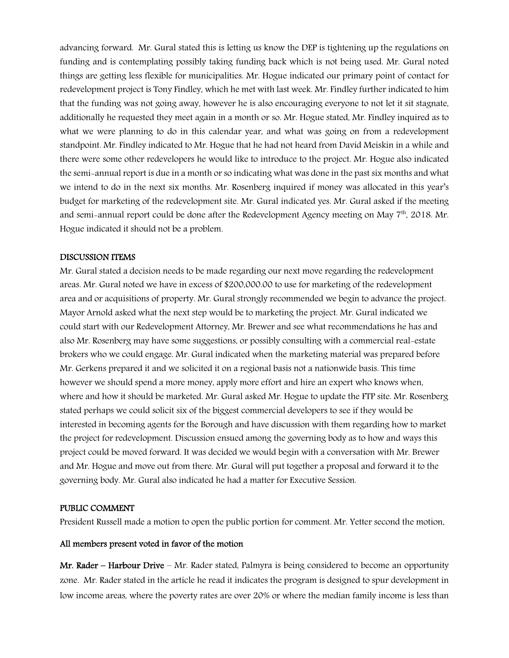advancing forward. Mr. Gural stated this is letting us know the DEP is tightening up the regulations on funding and is contemplating possibly taking funding back which is not being used. Mr. Gural noted things are getting less flexible for municipalities. Mr. Hogue indicated our primary point of contact for redevelopment project is Tony Findley, which he met with last week. Mr. Findley further indicated to him that the funding was not going away, however he is also encouraging everyone to not let it sit stagnate, additionally he requested they meet again in a month or so. Mr. Hogue stated, Mr. Findley inquired as to what we were planning to do in this calendar year, and what was going on from a redevelopment standpoint. Mr. Findley indicated to Mr. Hogue that he had not heard from David Meiskin in a while and there were some other redevelopers he would like to introduce to the project. Mr. Hogue also indicated the semi-annual report is due in a month or so indicating what was done in the past six months and what we intend to do in the next six months. Mr. Rosenberg inquired if money was allocated in this year's budget for marketing of the redevelopment site. Mr. Gural indicated yes. Mr. Gural asked if the meeting and semi-annual report could be done after the Redevelopment Agency meeting on May  $7<sup>th</sup>$ , 2018. Mr. Hogue indicated it should not be a problem.

#### DISCUSSION ITEMS

Mr. Gural stated a decision needs to be made regarding our next move regarding the redevelopment areas. Mr. Gural noted we have in excess of \$200,000.00 to use for marketing of the redevelopment area and or acquisitions of property. Mr. Gural strongly recommended we begin to advance the project. Mayor Arnold asked what the next step would be to marketing the project. Mr. Gural indicated we could start with our Redevelopment Attorney, Mr. Brewer and see what recommendations he has and also Mr. Rosenberg may have some suggestions, or possibly consulting with a commercial real-estate brokers who we could engage. Mr. Gural indicated when the marketing material was prepared before Mr. Gerkens prepared it and we solicited it on a regional basis not a nationwide basis. This time however we should spend a more money, apply more effort and hire an expert who knows when, where and how it should be marketed. Mr. Gural asked Mr. Hogue to update the FTP site. Mr. Rosenberg stated perhaps we could solicit six of the biggest commercial developers to see if they would be interested in becoming agents for the Borough and have discussion with them regarding how to market the project for redevelopment. Discussion ensued among the governing body as to how and ways this project could be moved forward. It was decided we would begin with a conversation with Mr. Brewer and Mr. Hogue and move out from there. Mr. Gural will put together a proposal and forward it to the governing body. Mr. Gural also indicated he had a matter for Executive Session.

#### PUBLIC COMMENT

President Russell made a motion to open the public portion for comment. Mr. Yetter second the motion.

#### All members present voted in favor of the motion

Mr. Rader – Harbour Drive – Mr. Rader stated, Palmyra is being considered to become an opportunity zone. Mr. Rader stated in the article he read it indicates the program is designed to spur development in low income areas, where the poverty rates are over 20% or where the median family income is less than